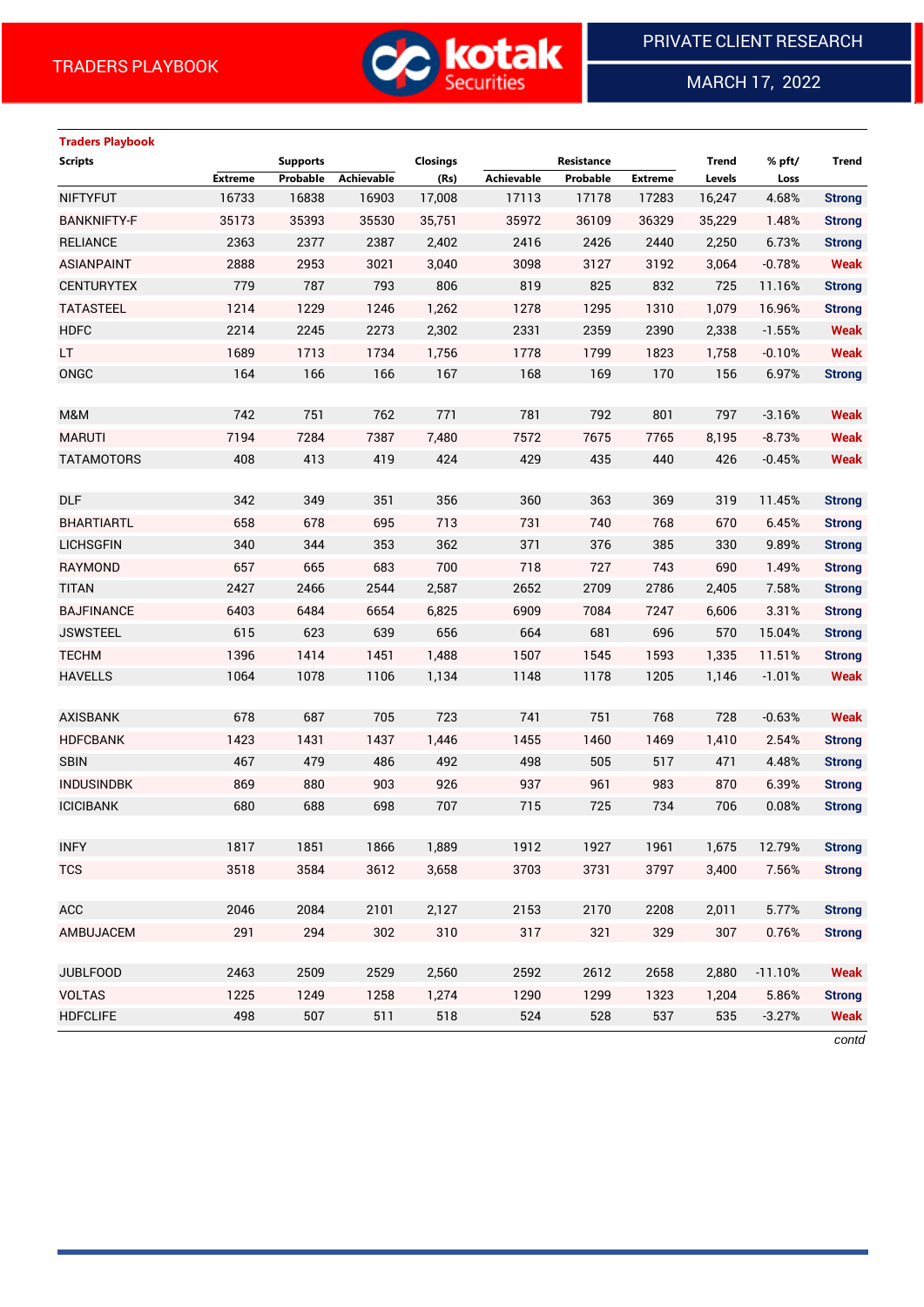

MARCH 17, 2022

 $\overline{a}$ 

# **Traders Playbook**

| <b>Scripts</b>     |                | <b>Supports</b> |            | <b>Closings</b> |            | Resistance |                | Trend  | % pft/    | <b>Trend</b>  |
|--------------------|----------------|-----------------|------------|-----------------|------------|------------|----------------|--------|-----------|---------------|
|                    | <b>Extreme</b> | Probable        | Achievable | (Rs)            | Achievable | Probable   | <b>Extreme</b> | Levels | Loss      |               |
| <b>NIFTYFUT</b>    | 16733          | 16838           | 16903      | 17,008          | 17113      | 17178      | 17283          | 16,247 | 4.68%     | <b>Strong</b> |
| <b>BANKNIFTY-F</b> | 35173          | 35393           | 35530      | 35,751          | 35972      | 36109      | 36329          | 35,229 | 1.48%     | <b>Strong</b> |
| <b>RELIANCE</b>    | 2363           | 2377            | 2387       | 2,402           | 2416       | 2426       | 2440           | 2,250  | 6.73%     | <b>Strong</b> |
| <b>ASIANPAINT</b>  | 2888           | 2953            | 3021       | 3,040           | 3098       | 3127       | 3192           | 3,064  | $-0.78%$  | <b>Weak</b>   |
| <b>CENTURYTEX</b>  | 779            | 787             | 793        | 806             | 819        | 825        | 832            | 725    | 11.16%    | <b>Strong</b> |
| <b>TATASTEEL</b>   | 1214           | 1229            | 1246       | 1,262           | 1278       | 1295       | 1310           | 1,079  | 16.96%    | <b>Strong</b> |
| <b>HDFC</b>        | 2214           | 2245            | 2273       | 2,302           | 2331       | 2359       | 2390           | 2,338  | $-1.55%$  | <b>Weak</b>   |
| LT                 | 1689           | 1713            | 1734       | 1,756           | 1778       | 1799       | 1823           | 1,758  | $-0.10%$  | <b>Weak</b>   |
| ONGC               | 164            | 166             | 166        | 167             | 168        | 169        | 170            | 156    | 6.97%     | <b>Strong</b> |
|                    |                |                 |            |                 |            |            |                |        |           |               |
| M&M                | 742            | 751             | 762        | 771             | 781        | 792        | 801            | 797    | $-3.16%$  | <b>Weak</b>   |
| <b>MARUTI</b>      | 7194           | 7284            | 7387       | 7,480           | 7572       | 7675       | 7765           | 8,195  | $-8.73%$  | <b>Weak</b>   |
| <b>TATAMOTORS</b>  | 408            | 413             | 419        | 424             | 429        | 435        | 440            | 426    | $-0.45%$  | <b>Weak</b>   |
|                    |                |                 |            |                 |            |            |                |        |           |               |
| <b>DLF</b>         | 342            | 349             | 351        | 356             | 360        | 363        | 369            | 319    | 11.45%    | <b>Strong</b> |
| <b>BHARTIARTL</b>  | 658            | 678             | 695        | 713             | 731        | 740        | 768            | 670    | 6.45%     | <b>Strong</b> |
| <b>LICHSGFIN</b>   | 340            | 344             | 353        | 362             | 371        | 376        | 385            | 330    | 9.89%     | <b>Strong</b> |
| RAYMOND            | 657            | 665             | 683        | 700             | 718        | 727        | 743            | 690    | 1.49%     | <b>Strong</b> |
| <b>TITAN</b>       | 2427           | 2466            | 2544       | 2,587           | 2652       | 2709       | 2786           | 2,405  | 7.58%     | <b>Strong</b> |
| <b>BAJFINANCE</b>  | 6403           | 6484            | 6654       | 6,825           | 6909       | 7084       | 7247           | 6,606  | 3.31%     | <b>Strong</b> |
| <b>JSWSTEEL</b>    | 615            | 623             | 639        | 656             | 664        | 681        | 696            | 570    | 15.04%    | <b>Strong</b> |
| <b>TECHM</b>       | 1396           | 1414            | 1451       | 1,488           | 1507       | 1545       | 1593           | 1,335  | 11.51%    | <b>Strong</b> |
| <b>HAVELLS</b>     | 1064           | 1078            | 1106       | 1,134           | 1148       | 1178       | 1205           | 1,146  | $-1.01%$  | <b>Weak</b>   |
|                    |                |                 |            |                 |            |            |                |        |           |               |
| <b>AXISBANK</b>    | 678            | 687             | 705        | 723             | 741        | 751        | 768            | 728    | $-0.63%$  | <b>Weak</b>   |
| <b>HDFCBANK</b>    | 1423           | 1431            | 1437       | 1,446           | 1455       | 1460       | 1469           | 1,410  | 2.54%     | <b>Strong</b> |
| <b>SBIN</b>        | 467            | 479             | 486        | 492             | 498        | 505        | 517            | 471    | 4.48%     | <b>Strong</b> |
| <b>INDUSINDBK</b>  | 869            | 880             | 903        | 926             | 937        | 961        | 983            | 870    | 6.39%     | <b>Strong</b> |
| <b>ICICIBANK</b>   | 680            | 688             | 698        | 707             | 715        | 725        | 734            | 706    | 0.08%     | <b>Strong</b> |
|                    |                |                 |            |                 |            |            |                |        |           |               |
| <b>INFY</b>        | 1817           | 1851            | 1866       | 1,889           | 1912       | 1927       | 1961           | 1,675  | 12.79%    | <b>Strong</b> |
| <b>TCS</b>         | 3518           | 3584            | 3612       | 3,658           | 3703       | 3731       | 3797           | 3,400  | 7.56%     | <b>Strong</b> |
|                    |                |                 |            |                 |            |            |                |        |           |               |
| ACC                | 2046           | 2084            | 2101       | 2,127           | 2153       | 2170       | 2208           | 2,011  | 5.77%     | <b>Strong</b> |
| AMBUJACEM          | 291            | 294             | 302        | 310             | 317        | 321        | 329            | 307    | 0.76%     | <b>Strong</b> |
|                    |                |                 |            |                 |            |            |                |        |           |               |
| <b>JUBLFOOD</b>    | 2463           | 2509            | 2529       | 2,560           | 2592       | 2612       | 2658           | 2,880  | $-11.10%$ | <b>Weak</b>   |
| <b>VOLTAS</b>      | 1225           | 1249            | 1258       | 1,274           | 1290       | 1299       | 1323           | 1,204  | 5.86%     | <b>Strong</b> |
| <b>HDFCLIFE</b>    | 498            | 507             | 511        | 518             | 524        | 528        | 537            | 535    | $-3.27%$  | <b>Weak</b>   |

*contd*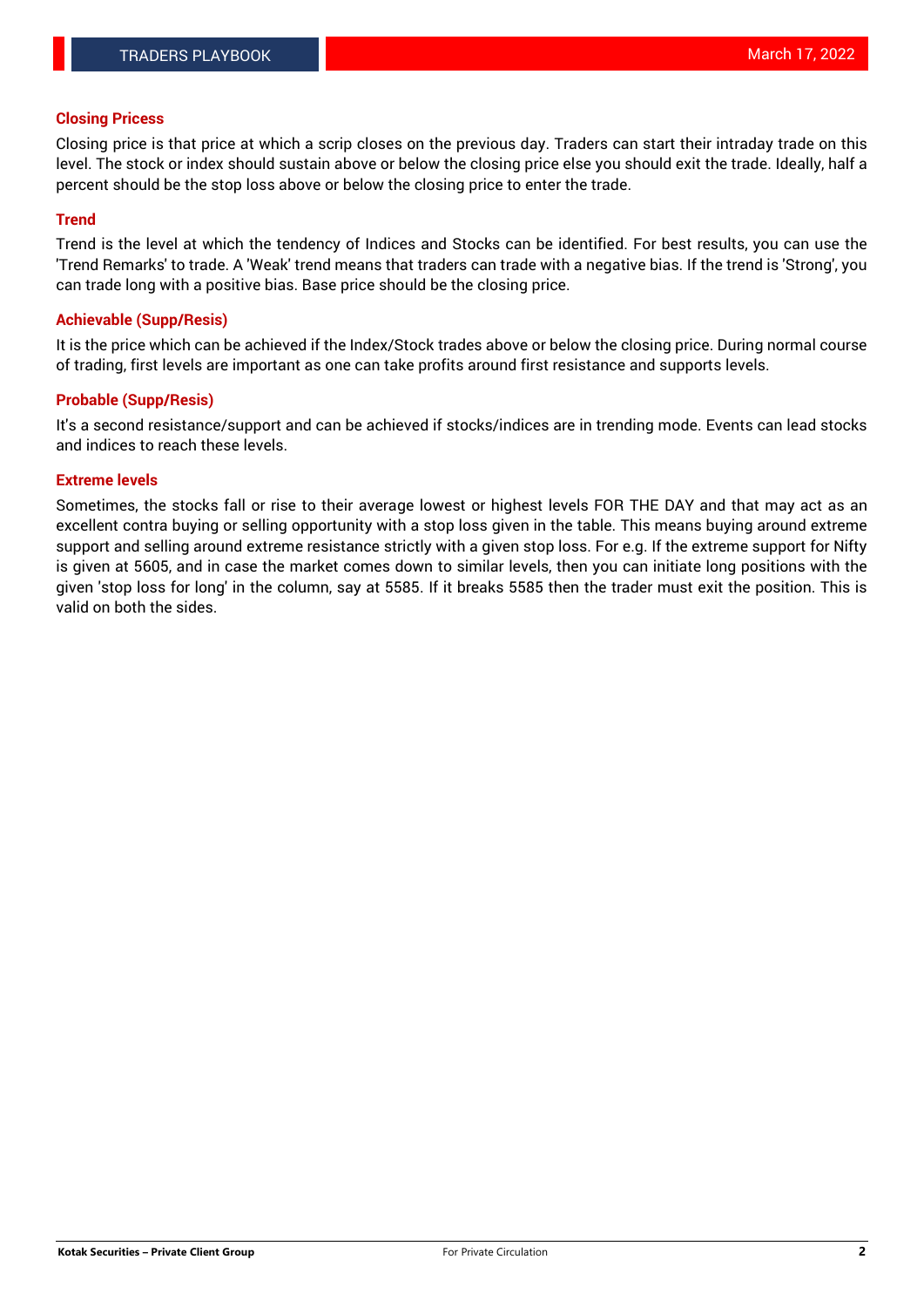### **Closing Pricess**

Closing price is that price at which a scrip closes on the previous day. Traders can start their intraday trade on this level. The stock or index should sustain above or below the closing price else you should exit the trade. Ideally, half a percent should be the stop loss above or below the closing price to enter the trade.

#### **Trend**

Trend is the level at which the tendency of Indices and Stocks can be identified. For best results, you can use the 'Trend Remarks' to trade. A 'Weak' trend means that traders can trade with a negative bias. If the trend is 'Strong', you can trade long with a positive bias. Base price should be the closing price.

#### **Achievable (Supp/Resis)**

It is the price which can be achieved if the Index/Stock trades above or below the closing price. During normal course of trading, first levels are important as one can take profits around first resistance and supports levels.

### **Probable (Supp/Resis)**

It's a second resistance/support and can be achieved if stocks/indices are in trending mode. Events can lead stocks and indices to reach these levels.

#### **Extreme levels**

Sometimes, the stocks fall or rise to their average lowest or highest levels FOR THE DAY and that may act as an excellent contra buying or selling opportunity with a stop loss given in the table. This means buying around extreme support and selling around extreme resistance strictly with a given stop loss. For e.g. If the extreme support for Nifty is given at 5605, and in case the market comes down to similar levels, then you can initiate long positions with the given 'stop loss for long' in the column, say at 5585. If it breaks 5585 then the trader must exit the position. This is valid on both the sides.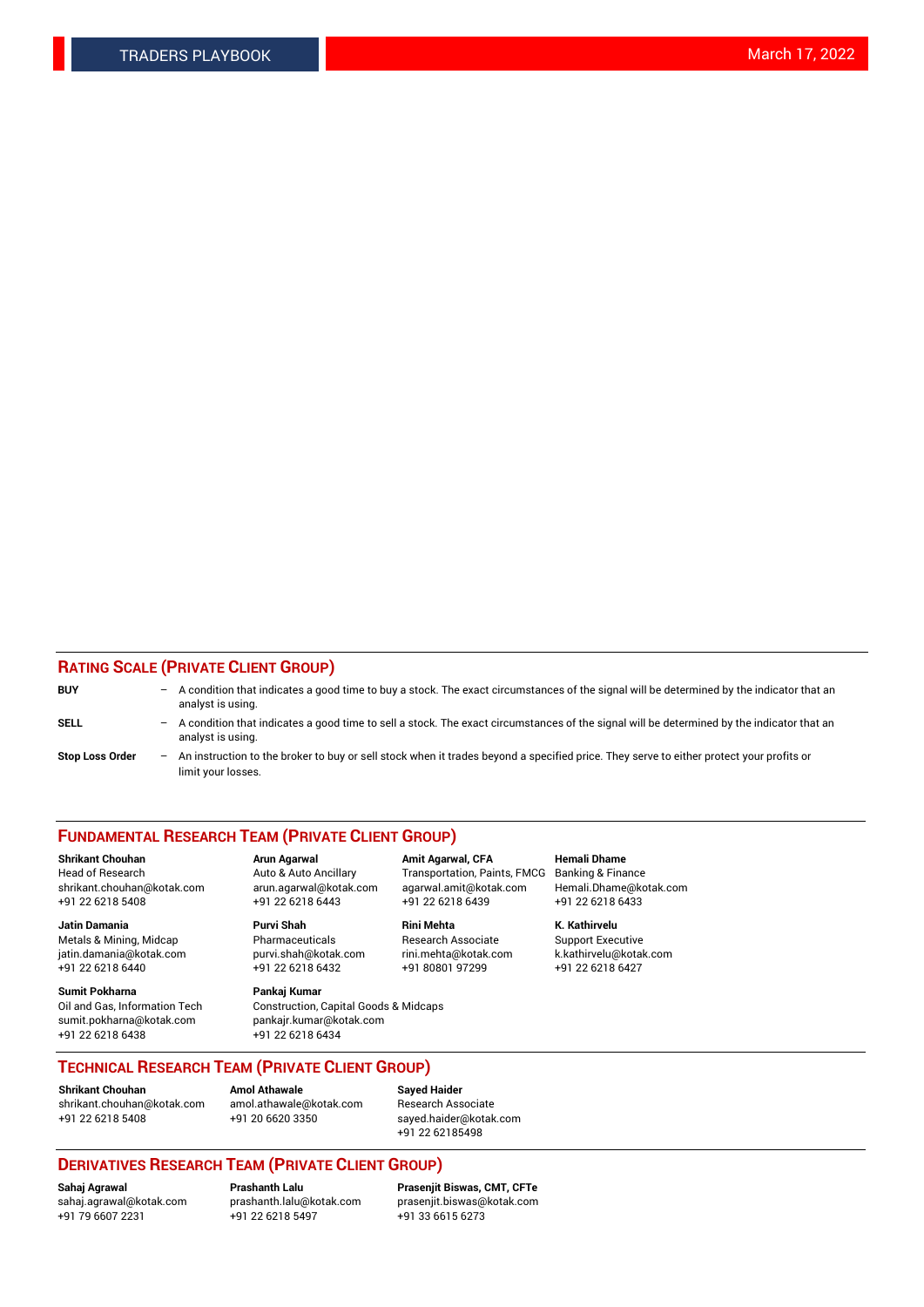### **RATING SCALE (PRIVATE CLIENT GROUP)**

| <b>BUY</b>             | -   | A condition that indicates a good time to buy a stock. The exact circumstances of the signal will be determined by the indicator that an<br>analyst is using.  |
|------------------------|-----|----------------------------------------------------------------------------------------------------------------------------------------------------------------|
| <b>SELL</b>            | -   | A condition that indicates a good time to sell a stock. The exact circumstances of the signal will be determined by the indicator that an<br>analyst is using. |
| <b>Stop Loss Order</b> | $-$ | An instruction to the broker to buy or sell stock when it trades beyond a specified price. They serve to either protect your profits or<br>limit your losses.  |

#### **FUNDAMENTAL RESEARCH TEAM (PRIVATE CLIENT GROUP)**

**Shrikant Chouhan Arun Agarwal Amit Agarwal, CFA Hemali Dhame** Head of Research Auto & Auto Ancillary Transportation, Paints, FMCG Banking & Finance shrikant.chouhan@kotak.com arun.agarwal@kotak.com agarwal.amit@kotak.com Hemali.Dhame@kotak.com

**Jatin Damania Purvi Shah Rini Mehta K. Kathirvelu** Metals & Mining, Midcap **Pharmaceuticals** Research Associate Support Executive jatin.damania@kotak.com [purvi.shah@kotak.com](mailto:purvi.shah@kotak.com) rini.mehta@kotak.com [k.kathirvelu@kotak.com](mailto:k.kathirvelu@kotak.com)  $+91$  22 6218 6440  $+91$  22 6218 6432

**Sumit Pokharna Pankaj Kumar** sumit.pokharna@kotak.com pankajr.kumar@kotak.com +91 22 6218 6438 +91 22 6218 6434

Oil and Gas, Information Tech Construction, Capital Goods & Midcaps

+91 22 6218 5408 +91 22 6218 6443 +91 22 6218 6439 +91 22 6218 6433

**TECHNICAL RESEARCH TEAM (PRIVATE CLIENT GROUP)**

[shrikant.chouhan@kotak.com](mailto:shrikant.chouhan@kotak.com) [amol.athawale@kotak.com](mailto:amol.athawale@kotak.com) Research Associate +91 22 6218 5408 +91 20 6620 3350 [sayed.haider@kotak.com](mailto:sayed.haider@kotak.com)

**Shrikant Chouhan Amol Athawale Sayed Haider**

# +91 22 62185498

## **DERIVATIVES RESEARCH TEAM (PRIVATE CLIENT GROUP)**

 $+91$  22 6218 5497

**Sahaj Agrawal Prashanth Lalu Prasenjit Biswas, CMT, CFTe** [sahaj.agrawal@kotak.com](mailto:sahaj.agrawal@kotak.com) [prashanth.lalu@kotak.com](mailto:prashanth.lalu@kotak.com) [prasenjit.biswas@kotak.com](mailto:prasenjit.biswas@kotak.com)